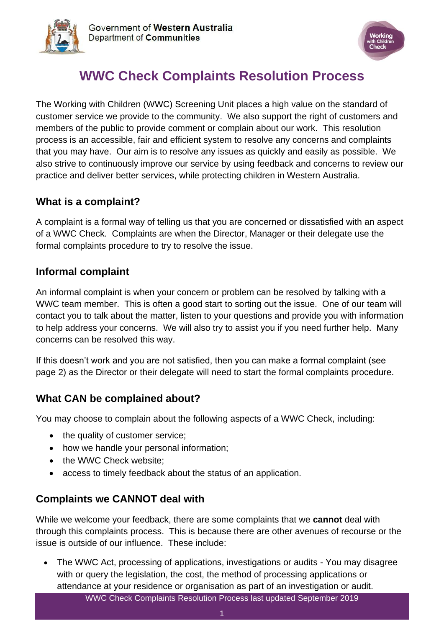



# **WWC Check Complaints Resolution Process**

The Working with Children (WWC) Screening Unit places a high value on the standard of customer service we provide to the community. We also support the right of customers and members of the public to provide comment or complain about our work. This resolution process is an accessible, fair and efficient system to resolve any concerns and complaints that you may have. Our aim is to resolve any issues as quickly and easily as possible. We also strive to continuously improve our service by using feedback and concerns to review our practice and deliver better services, while protecting children in Western Australia.

#### **What is a complaint?**

A complaint is a formal way of telling us that you are concerned or dissatisfied with an aspect of a WWC Check. Complaints are when the Director, Manager or their delegate use the formal complaints procedure to try to resolve the issue.

#### **Informal complaint**

An informal complaint is when your concern or problem can be resolved by talking with a WWC team member. This is often a good start to sorting out the issue. One of our team will contact you to talk about the matter, listen to your questions and provide you with information to help address your concerns. We will also try to assist you if you need further help. Many concerns can be resolved this way.

If this doesn't work and you are not satisfied, then you can make a formal complaint (see page 2) as the Director or their delegate will need to start the formal complaints procedure.

## **What CAN be complained about?**

You may choose to complain about the following aspects of a WWC Check, including:

- the quality of customer service;
- how we handle your personal information;
- the WWC Check website;
- access to timely feedback about the status of an application.

## **Complaints we CANNOT deal with**

While we welcome your feedback, there are some complaints that we **cannot** deal with through this complaints process. This is because there are other avenues of recourse or the issue is outside of our influence. These include:

WWC Check Complaints Resolution Process last updated September 2019 • The WWC Act, processing of applications, investigations or audits - You may disagree with or query the legislation, the cost, the method of processing applications or attendance at your residence or organisation as part of an investigation or audit.